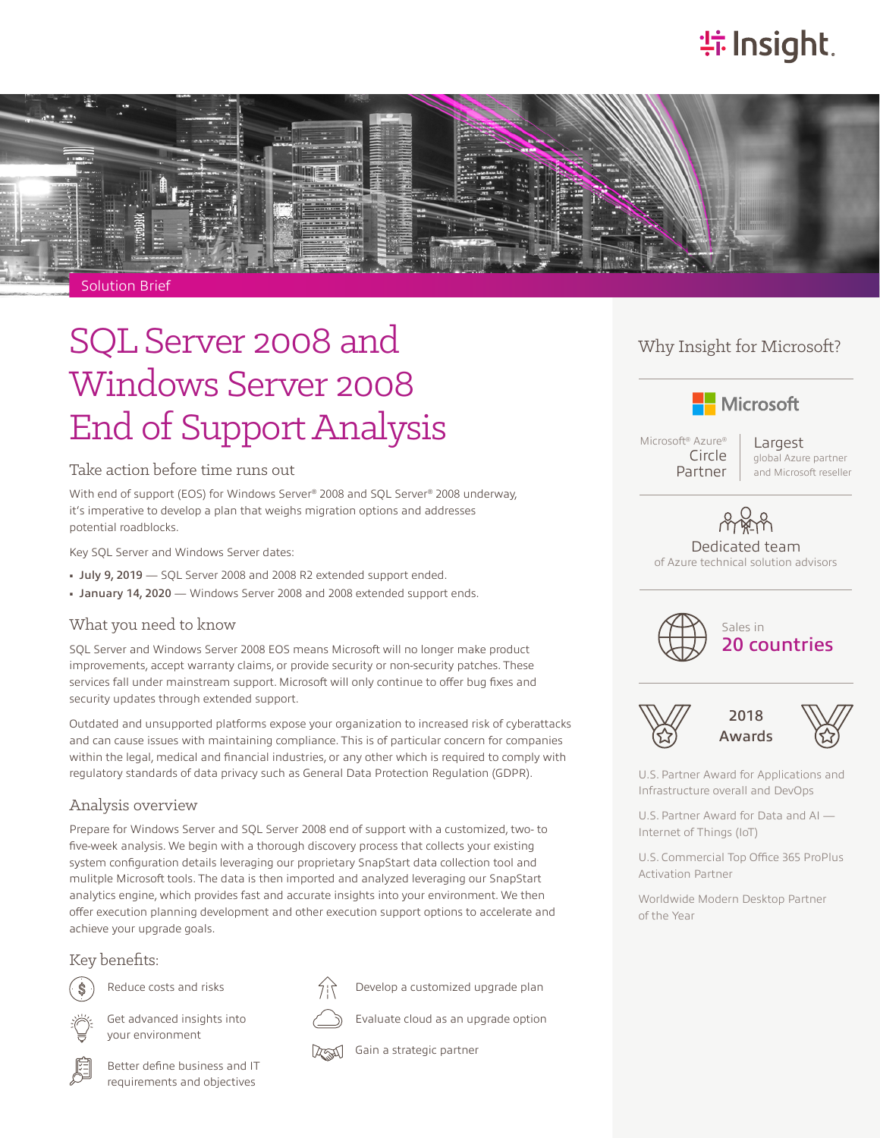# **特Insight**



# SQL Server 2008 and Windows Server 2008 End of Support Analysis

### Take action before time runs out

With end of support (EOS) for Windows Server® 2008 and SQL Server® 2008 underway, it's imperative to develop a plan that weighs migration options and addresses potential roadblocks.

Key SQL Server and Windows Server dates:

- July 9, 2019 SQL Server 2008 and 2008 R2 extended support ended.
- January 14, 2020 Windows Server 2008 and 2008 extended support ends.

### What you need to know

SQL Server and Windows Server 2008 EOS means Microsoft will no longer make product improvements, accept warranty claims, or provide security or non-security patches. These services fall under mainstream support. Microsoft will only continue to offer bug fixes and security updates through extended support.

Outdated and unsupported platforms expose your organization to increased risk of cyberattacks and can cause issues with maintaining compliance. This is of particular concern for companies within the legal, medical and financial industries, or any other which is required to comply with regulatory standards of data privacy such as General Data Protection Regulation (GDPR).

### Analysis overview

Prepare for Windows Server and SQL Server 2008 end of support with a customized, two- to five-week analysis. We begin with a thorough discovery process that collects your existing system configuration details leveraging our proprietary SnapStart data collection tool and mulitple Microsoft tools. The data is then imported and analyzed leveraging our SnapStart analytics engine, which provides fast and accurate insights into your environment. We then offer execution planning development and other execution support options to accelerate and achieve your upgrade goals.

### Key benefits:



Reduce costs and risks



Get advanced insights into your environment



Better define business and IT requirements and objectives



Develop a customized upgrade plan

Evaluate cloud as an upgrade option

The Gain a strategic partner

## Why Insight for Microsoft?



Microsoft® Azure® Circle Partner

Largest global Azure partner and Microsoft reseller

# Dedicated team

of Azure technical solution advisors



20 countries



2018 Awards

U.S. Partner Award for Applications and Infrastructure overall and DevOps

U.S. Partner Award for Data and AI — Internet of Things (IoT)

U.S. Commercial Top Office 365 ProPlus Activation Partner

Worldwide Modern Desktop Partner of the Year